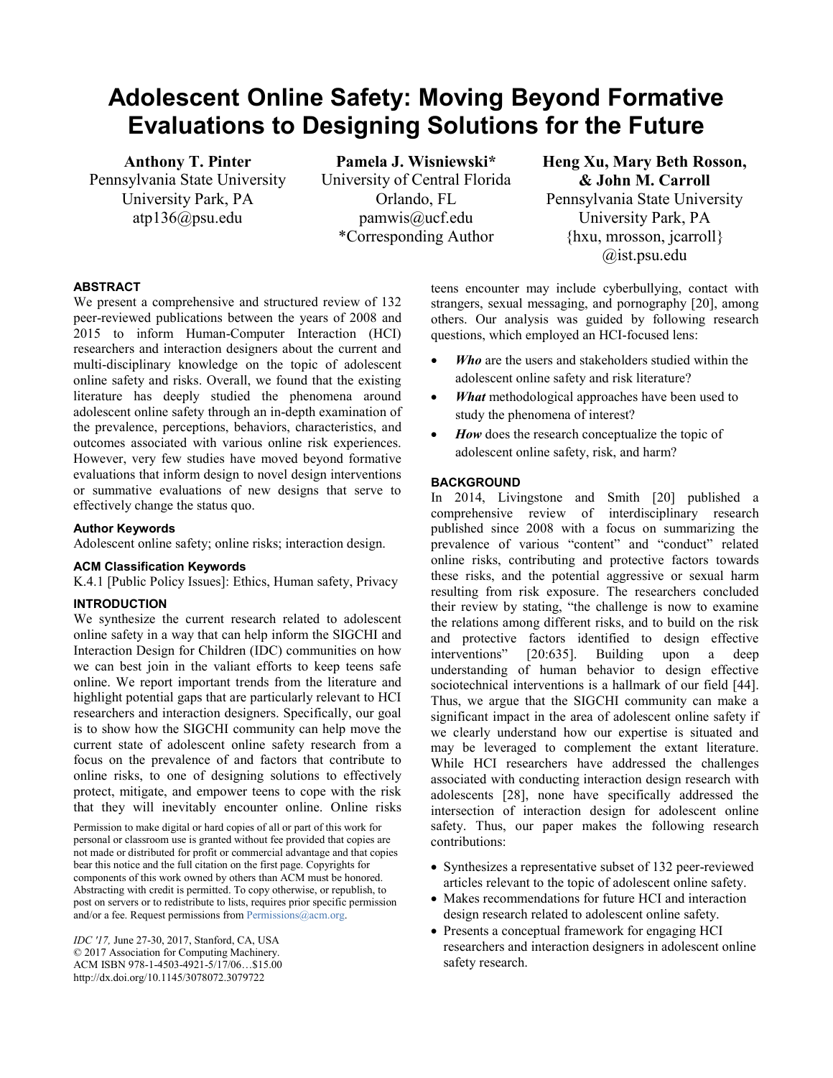# **Adolescent Online Safety: Moving Beyond Formative Evaluations to Designing Solutions for the Future**

**Anthony T. Pinter** Pennsylvania State University University Park, PA atp136@psu.edu

**Pamela J. Wisniewski\*** University of Central Florida Orlando, FL pamwis@ucf.edu \*Corresponding Author

**Heng Xu, Mary Beth Rosson, & John M. Carroll** Pennsylvania State University University Park, PA {hxu, mrosson, jcarroll} @ist.psu.edu

# **ABSTRACT**

We present a comprehensive and structured review of 132 peer-reviewed publications between the years of 2008 and 2015 to inform Human-Computer Interaction (HCI) researchers and interaction designers about the current and multi-disciplinary knowledge on the topic of adolescent online safety and risks. Overall, we found that the existing literature has deeply studied the phenomena around adolescent online safety through an in-depth examination of the prevalence, perceptions, behaviors, characteristics, and outcomes associated with various online risk experiences. However, very few studies have moved beyond formative evaluations that inform design to novel design interventions or summative evaluations of new designs that serve to effectively change the status quo.

# **Author Keywords**

Adolescent online safety; online risks; interaction design.

# **ACM Classification Keywords**

K.4.1 [Public Policy Issues]: Ethics, Human safety, Privacy

# **INTRODUCTION**

We synthesize the current research related to adolescent online safety in a way that can help inform the SIGCHI and Interaction Design for Children (IDC) communities on how we can best join in the valiant efforts to keep teens safe online. We report important trends from the literature and highlight potential gaps that are particularly relevant to HCI researchers and interaction designers. Specifically, our goal is to show how the SIGCHI community can help move the current state of adolescent online safety research from a focus on the prevalence of and factors that contribute to online risks, to one of designing solutions to effectively protect, mitigate, and empower teens to cope with the risk that they will inevitably encounter online. Online risks

Permission to make digital or hard copies of all or part of this work for personal or classroom use is granted without fee provided that copies are not made or distributed for profit or commercial advantage and that copies bear this notice and the full citation on the first page. Copyrights for components of this work owned by others than ACM must be honored. Abstracting with credit is permitted. To copy otherwise, or republish, to post on servers or to redistribute to lists, requires prior specific permission and/or a fee. Request permissions from [Permissions@acm.org.](https://webmail.psu.edu/webmail/retrieve.cgi?mailbox=Wisniewski&start_num=0&limit=50&sort=1&display=4×tamp=20170416103928&mid=CY1PR11MB0347C10349A857304C68D2EBE3020%40CY1PR11MB0347%2enamprd11%2eprod%2eoutlook%2ecom)

*IDC '17,* June 27-30, 2017, Stanford, CA, USA © 2017 Association for Computing Machinery. ACM ISBN 978-1-4503-4921-5/17/06…\$15.00 http://dx.doi.org/10.1145/3078072.3079722

teens encounter may include cyberbullying, contact with strangers, sexual messaging, and pornography [20], among others. Our analysis was guided by following research questions, which employed an HCI-focused lens:

- *Who* are the users and stakeholders studied within the adolescent online safety and risk literature?
- What methodological approaches have been used to study the phenomena of interest?
- How does the research conceptualize the topic of adolescent online safety, risk, and harm?

# **BACKGROUND**

In 2014, Livingstone and Smith [20] published a comprehensive review of interdisciplinary research published since 2008 with a focus on summarizing the prevalence of various "content" and "conduct" related online risks, contributing and protective factors towards these risks, and the potential aggressive or sexual harm resulting from risk exposure. The researchers concluded their review by stating, "the challenge is now to examine the relations among different risks, and to build on the risk and protective factors identified to design effective interventions" [20:635]. Building upon a deep understanding of human behavior to design effective sociotechnical interventions is a hallmark of our field [44]. Thus, we argue that the SIGCHI community can make a significant impact in the area of adolescent online safety if we clearly understand how our expertise is situated and may be leveraged to complement the extant literature. While HCI researchers have addressed the challenges associated with conducting interaction design research with adolescents [28], none have specifically addressed the intersection of interaction design for adolescent online safety. Thus, our paper makes the following research contributions:

- Synthesizes a representative subset of 132 peer-reviewed articles relevant to the topic of adolescent online safety.
- Makes recommendations for future HCI and interaction design research related to adolescent online safety.
- Presents a conceptual framework for engaging HCI researchers and interaction designers in adolescent online safety research.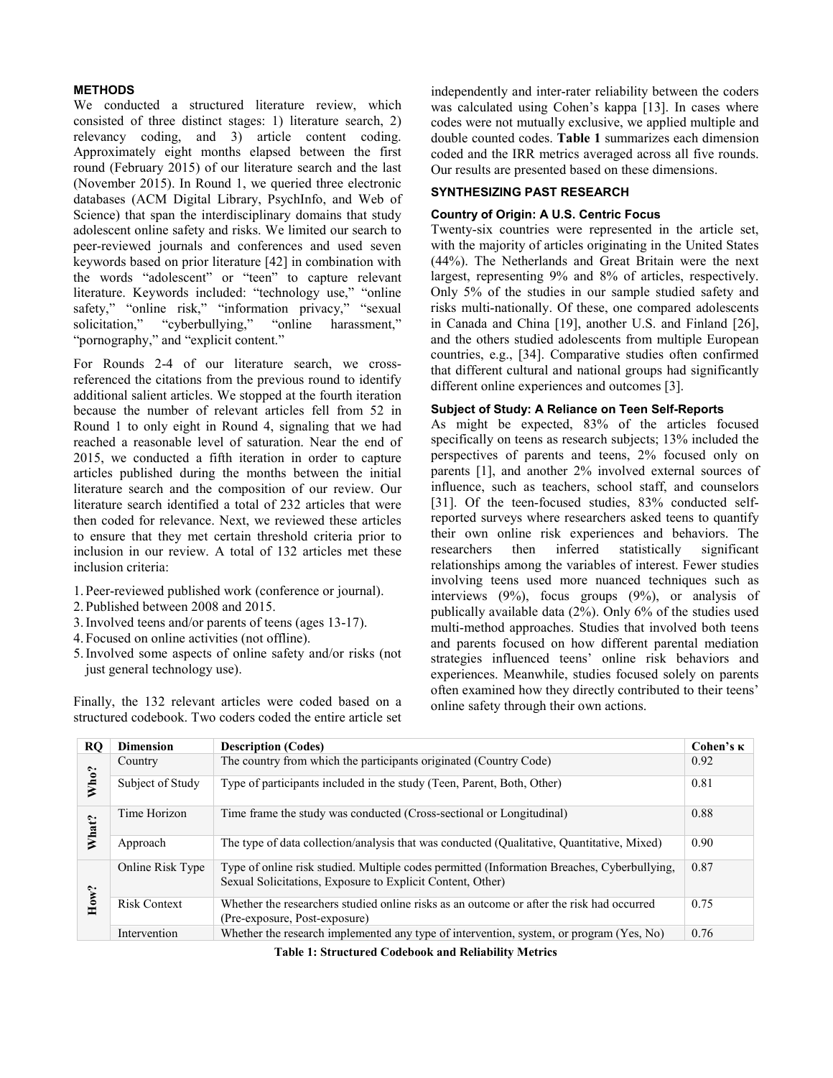#### **METHODS**

We conducted a structured literature review, which consisted of three distinct stages: 1) literature search, 2) relevancy coding, and 3) article content coding. Approximately eight months elapsed between the first round (February 2015) of our literature search and the last (November 2015). In Round 1, we queried three electronic databases (ACM Digital Library, PsychInfo, and Web of Science) that span the interdisciplinary domains that study adolescent online safety and risks. We limited our search to peer-reviewed journals and conferences and used seven keywords based on prior literature [42] in combination with the words "adolescent" or "teen" to capture relevant literature. Keywords included: "technology use," "online safety," "online risk," "information privacy," "sexual solicitation," "cyberbullying," "online harassment," "pornography," and "explicit content."

For Rounds 2-4 of our literature search, we crossreferenced the citations from the previous round to identify additional salient articles. We stopped at the fourth iteration because the number of relevant articles fell from 52 in Round 1 to only eight in Round 4, signaling that we had reached a reasonable level of saturation. Near the end of 2015, we conducted a fifth iteration in order to capture articles published during the months between the initial literature search and the composition of our review. Our literature search identified a total of 232 articles that were then coded for relevance. Next, we reviewed these articles to ensure that they met certain threshold criteria prior to inclusion in our review. A total of 132 articles met these inclusion criteria:

- 1. Peer-reviewed published work (conference or journal).
- 2. Published between 2008 and 2015.
- 3.Involved teens and/or parents of teens (ages 13-17).
- 4. Focused on online activities (not offline).
- 5.Involved some aspects of online safety and/or risks (not just general technology use).

Finally, the 132 relevant articles were coded based on a structured codebook. Two coders coded the entire article set independently and inter-rater reliability between the coders was calculated using Cohen's kappa [13]. In cases where codes were not mutually exclusive, we applied multiple and double counted codes. **Table 1** summarizes each dimension coded and the IRR metrics averaged across all five rounds. Our results are presented based on these dimensions.

#### **SYNTHESIZING PAST RESEARCH**

#### **Country of Origin: A U.S. Centric Focus**

Twenty-six countries were represented in the article set, with the majority of articles originating in the United States (44%). The Netherlands and Great Britain were the next largest, representing 9% and 8% of articles, respectively. Only 5% of the studies in our sample studied safety and risks multi-nationally. Of these, one compared adolescents in Canada and China [19], another U.S. and Finland [26], and the others studied adolescents from multiple European countries, e.g., [34]. Comparative studies often confirmed that different cultural and national groups had significantly different online experiences and outcomes [3].

#### **Subject of Study: A Reliance on Teen Self-Reports**

As might be expected, 83% of the articles focused specifically on teens as research subjects; 13% included the perspectives of parents and teens, 2% focused only on parents [1], and another 2% involved external sources of influence, such as teachers, school staff, and counselors [31]. Of the teen-focused studies, 83% conducted selfreported surveys where researchers asked teens to quantify their own online risk experiences and behaviors. The researchers then inferred statistically significant relationships among the variables of interest. Fewer studies involving teens used more nuanced techniques such as interviews (9%), focus groups (9%), or analysis of publically available data (2%). Only 6% of the studies used multi-method approaches. Studies that involved both teens and parents focused on how different parental mediation strategies influenced teens' online risk behaviors and experiences. Meanwhile, studies focused solely on parents often examined how they directly contributed to their teens' online safety through their own actions.

| <b>RO</b> | <b>Dimension</b>    | <b>Description (Codes)</b>                                                                                                                                | Cohen's $\kappa$ |
|-----------|---------------------|-----------------------------------------------------------------------------------------------------------------------------------------------------------|------------------|
| Who?      | Country             | The country from which the participants originated (Country Code)                                                                                         | 0.92             |
|           | Subject of Study    | Type of participants included in the study (Teen, Parent, Both, Other)                                                                                    | 0.81             |
| What?     | Time Horizon        | Time frame the study was conducted (Cross-sectional or Longitudinal)                                                                                      | 0.88             |
|           | Approach            | The type of data collection/analysis that was conducted (Qualitative, Quantitative, Mixed)                                                                | 0.90             |
| How?      | Online Risk Type    | Type of online risk studied. Multiple codes permitted (Information Breaches, Cyberbullying,<br>Sexual Solicitations, Exposure to Explicit Content, Other) | 0.87             |
|           | <b>Risk Context</b> | Whether the researchers studied online risks as an outcome or after the risk had occurred<br>(Pre-exposure, Post-exposure)                                | 0.75             |
|           | Intervention        | Whether the research implemented any type of intervention, system, or program (Yes, No)                                                                   | 0.76             |

**Table 1: Structured Codebook and Reliability Metrics**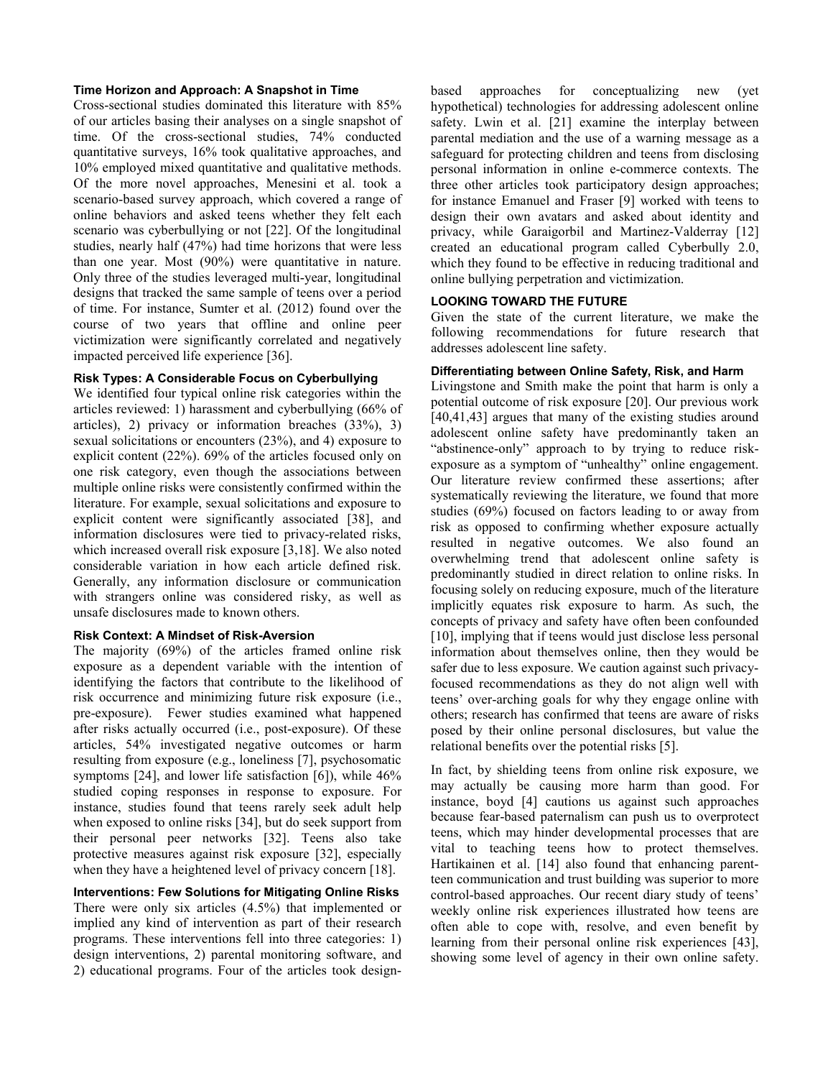#### **Time Horizon and Approach: A Snapshot in Time**

Cross-sectional studies dominated this literature with 85% of our articles basing their analyses on a single snapshot of time. Of the cross-sectional studies, 74% conducted quantitative surveys, 16% took qualitative approaches, and 10% employed mixed quantitative and qualitative methods. Of the more novel approaches, Menesini et al. took a scenario-based survey approach, which covered a range of online behaviors and asked teens whether they felt each scenario was cyberbullying or not [22]. Of the longitudinal studies, nearly half (47%) had time horizons that were less than one year. Most (90%) were quantitative in nature. Only three of the studies leveraged multi-year, longitudinal designs that tracked the same sample of teens over a period of time. For instance, Sumter et al. (2012) found over the course of two years that offline and online peer victimization were significantly correlated and negatively impacted perceived life experience [36].

# **Risk Types: A Considerable Focus on Cyberbullying**

We identified four typical online risk categories within the articles reviewed: 1) harassment and cyberbullying (66% of articles), 2) privacy or information breaches (33%), 3) sexual solicitations or encounters (23%), and 4) exposure to explicit content (22%). 69% of the articles focused only on one risk category, even though the associations between multiple online risks were consistently confirmed within the literature. For example, sexual solicitations and exposure to explicit content were significantly associated [38], and information disclosures were tied to privacy-related risks, which increased overall risk exposure [3,18]. We also noted considerable variation in how each article defined risk. Generally, any information disclosure or communication with strangers online was considered risky, as well as unsafe disclosures made to known others.

#### **Risk Context: A Mindset of Risk-Aversion**

The majority (69%) of the articles framed online risk exposure as a dependent variable with the intention of identifying the factors that contribute to the likelihood of risk occurrence and minimizing future risk exposure (i.e., pre-exposure). Fewer studies examined what happened after risks actually occurred (i.e., post-exposure). Of these articles, 54% investigated negative outcomes or harm resulting from exposure (e.g., loneliness [7], psychosomatic symptoms [24], and lower life satisfaction [6]), while 46% studied coping responses in response to exposure. For instance, studies found that teens rarely seek adult help when exposed to online risks [34], but do seek support from their personal peer networks [32]. Teens also take protective measures against risk exposure [32], especially when they have a heightened level of privacy concern [18].

# **Interventions: Few Solutions for Mitigating Online Risks**

There were only six articles (4.5%) that implemented or implied any kind of intervention as part of their research programs. These interventions fell into three categories: 1) design interventions, 2) parental monitoring software, and 2) educational programs. Four of the articles took designbased approaches for conceptualizing new (yet hypothetical) technologies for addressing adolescent online safety. Lwin et al. [21] examine the interplay between parental mediation and the use of a warning message as a safeguard for protecting children and teens from disclosing personal information in online e-commerce contexts. The three other articles took participatory design approaches; for instance Emanuel and Fraser [9] worked with teens to design their own avatars and asked about identity and privacy, while Garaigorbil and Martinez-Valderray [12] created an educational program called Cyberbully 2.0, which they found to be effective in reducing traditional and online bullying perpetration and victimization.

# **LOOKING TOWARD THE FUTURE**

Given the state of the current literature, we make the following recommendations for future research that addresses adolescent line safety.

# **Differentiating between Online Safety, Risk, and Harm**

Livingstone and Smith make the point that harm is only a potential outcome of risk exposure [20]. Our previous work [40,41,43] argues that many of the existing studies around adolescent online safety have predominantly taken an "abstinence-only" approach to by trying to reduce riskexposure as a symptom of "unhealthy" online engagement. Our literature review confirmed these assertions; after systematically reviewing the literature, we found that more studies (69%) focused on factors leading to or away from risk as opposed to confirming whether exposure actually resulted in negative outcomes. We also found an overwhelming trend that adolescent online safety is predominantly studied in direct relation to online risks. In focusing solely on reducing exposure, much of the literature implicitly equates risk exposure to harm. As such, the concepts of privacy and safety have often been confounded [10], implying that if teens would just disclose less personal information about themselves online, then they would be safer due to less exposure. We caution against such privacyfocused recommendations as they do not align well with teens' over-arching goals for why they engage online with others; research has confirmed that teens are aware of risks posed by their online personal disclosures, but value the relational benefits over the potential risks [5].

In fact, by shielding teens from online risk exposure, we may actually be causing more harm than good. For instance, boyd [4] cautions us against such approaches because fear-based paternalism can push us to overprotect teens, which may hinder developmental processes that are vital to teaching teens how to protect themselves. Hartikainen et al. [14] also found that enhancing parentteen communication and trust building was superior to more control-based approaches. Our recent diary study of teens' weekly online risk experiences illustrated how teens are often able to cope with, resolve, and even benefit by learning from their personal online risk experiences [43], showing some level of agency in their own online safety.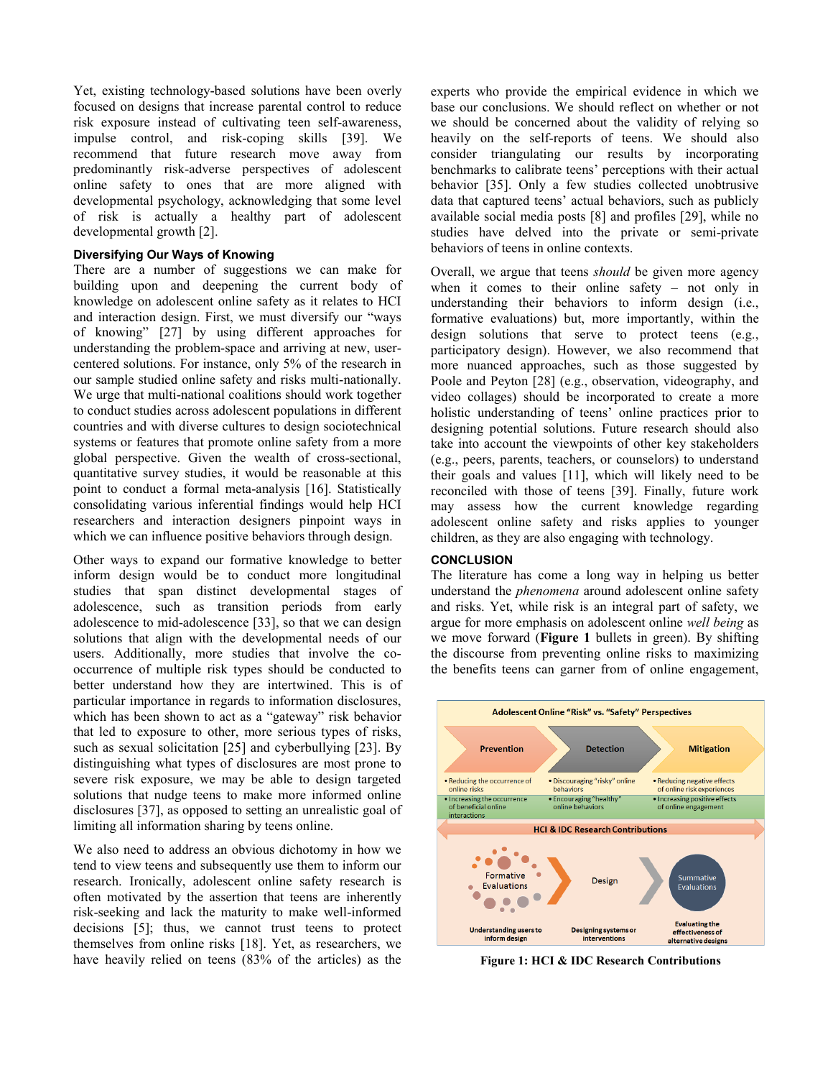Yet, existing technology-based solutions have been overly focused on designs that increase parental control to reduce risk exposure instead of cultivating teen self-awareness, impulse control, and risk-coping skills [39]. We recommend that future research move away from predominantly risk-adverse perspectives of adolescent online safety to ones that are more aligned with developmental psychology, acknowledging that some level of risk is actually a healthy part of adolescent developmental growth [2].

# **Diversifying Our Ways of Knowing**

There are a number of suggestions we can make for building upon and deepening the current body of knowledge on adolescent online safety as it relates to HCI and interaction design. First, we must diversify our "ways of knowing" [27] by using different approaches for understanding the problem-space and arriving at new, usercentered solutions. For instance, only 5% of the research in our sample studied online safety and risks multi-nationally. We urge that multi-national coalitions should work together to conduct studies across adolescent populations in different countries and with diverse cultures to design sociotechnical systems or features that promote online safety from a more global perspective. Given the wealth of cross-sectional, quantitative survey studies, it would be reasonable at this point to conduct a formal meta-analysis [16]. Statistically consolidating various inferential findings would help HCI researchers and interaction designers pinpoint ways in which we can influence positive behaviors through design.

Other ways to expand our formative knowledge to better inform design would be to conduct more longitudinal studies that span distinct developmental stages of adolescence, such as transition periods from early adolescence to mid-adolescence [33], so that we can design solutions that align with the developmental needs of our users. Additionally, more studies that involve the cooccurrence of multiple risk types should be conducted to better understand how they are intertwined. This is of particular importance in regards to information disclosures, which has been shown to act as a "gateway" risk behavior that led to exposure to other, more serious types of risks, such as sexual solicitation [25] and cyberbullying [23]. By distinguishing what types of disclosures are most prone to severe risk exposure, we may be able to design targeted solutions that nudge teens to make more informed online disclosures [37], as opposed to setting an unrealistic goal of limiting all information sharing by teens online.

We also need to address an obvious dichotomy in how we tend to view teens and subsequently use them to inform our research. Ironically, adolescent online safety research is often motivated by the assertion that teens are inherently risk-seeking and lack the maturity to make well-informed decisions [5]; thus, we cannot trust teens to protect themselves from online risks [18]. Yet, as researchers, we have heavily relied on teens (83% of the articles) as the

experts who provide the empirical evidence in which we base our conclusions. We should reflect on whether or not we should be concerned about the validity of relying so heavily on the self-reports of teens. We should also consider triangulating our results by incorporating benchmarks to calibrate teens' perceptions with their actual behavior [35]. Only a few studies collected unobtrusive data that captured teens' actual behaviors, such as publicly available social media posts [8] and profiles [29], while no studies have delved into the private or semi-private behaviors of teens in online contexts.

Overall, we argue that teens *should* be given more agency when it comes to their online safety – not only in understanding their behaviors to inform design (i.e., formative evaluations) but, more importantly, within the design solutions that serve to protect teens (e.g., participatory design). However, we also recommend that more nuanced approaches, such as those suggested by Poole and Peyton [28] (e.g., observation, videography, and video collages) should be incorporated to create a more holistic understanding of teens' online practices prior to designing potential solutions. Future research should also take into account the viewpoints of other key stakeholders (e.g., peers, parents, teachers, or counselors) to understand their goals and values [11], which will likely need to be reconciled with those of teens [39]. Finally, future work may assess how the current knowledge regarding adolescent online safety and risks applies to younger children, as they are also engaging with technology.

# **CONCLUSION**

The literature has come a long way in helping us better understand the *phenomena* around adolescent online safety and risks. Yet, while risk is an integral part of safety, we argue for more emphasis on adolescent online *well being* as we move forward (**Figure 1** bullets in green). By shifting the discourse from preventing online risks to maximizing the benefits teens can garner from of online engagement,



**Figure 1: HCI & IDC Research Contributions**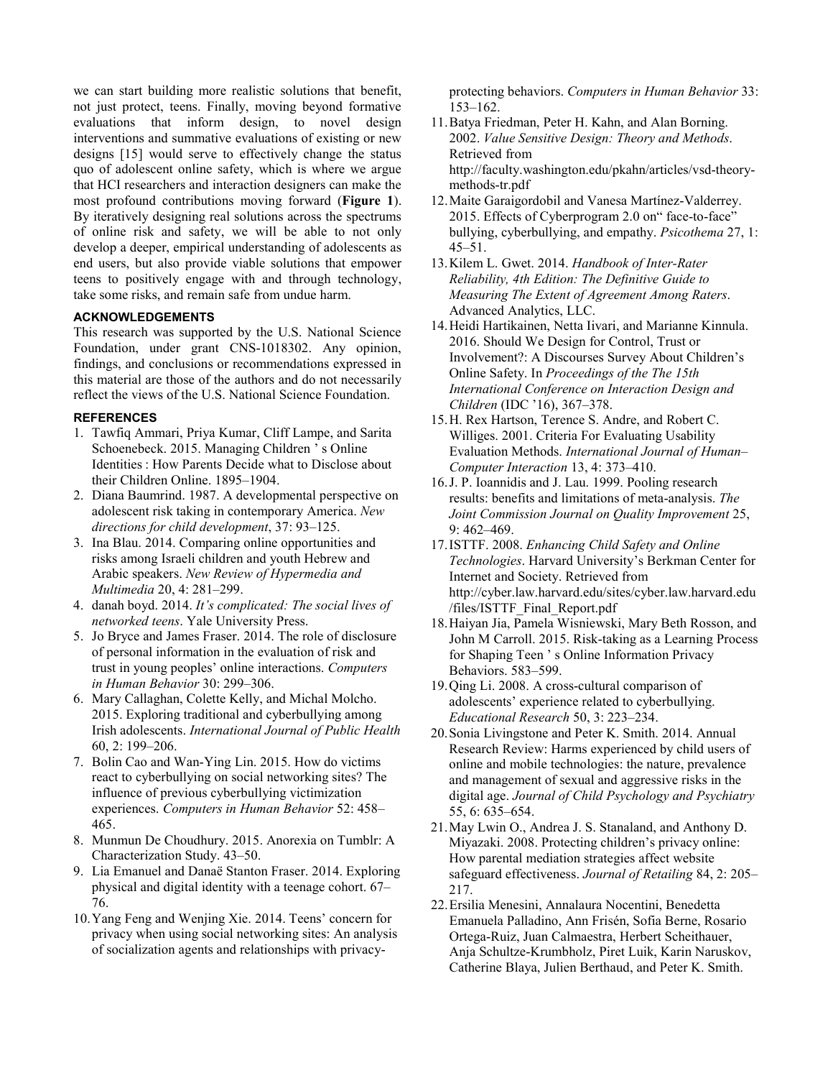we can start building more realistic solutions that benefit, not just protect, teens. Finally, moving beyond formative evaluations that inform design, to novel design interventions and summative evaluations of existing or new designs [15] would serve to effectively change the status quo of adolescent online safety, which is where we argue that HCI researchers and interaction designers can make the most profound contributions moving forward (**Figure 1**). By iteratively designing real solutions across the spectrums of online risk and safety, we will be able to not only develop a deeper, empirical understanding of adolescents as end users, but also provide viable solutions that empower teens to positively engage with and through technology, take some risks, and remain safe from undue harm.

# **ACKNOWLEDGEMENTS**

This research was supported by the U.S. National Science Foundation, under grant CNS-1018302. Any opinion, findings, and conclusions or recommendations expressed in this material are those of the authors and do not necessarily reflect the views of the U.S. National Science Foundation.

#### **REFERENCES**

- 1. Tawfiq Ammari, Priya Kumar, Cliff Lampe, and Sarita Schoenebeck. 2015. Managing Children ' s Online Identities : How Parents Decide what to Disclose about their Children Online. 1895–1904.
- 2. Diana Baumrind. 1987. A developmental perspective on adolescent risk taking in contemporary America. *New directions for child development*, 37: 93–125.
- 3. Ina Blau. 2014. Comparing online opportunities and risks among Israeli children and youth Hebrew and Arabic speakers. *New Review of Hypermedia and Multimedia* 20, 4: 281–299.
- 4. danah boyd. 2014. *It's complicated: The social lives of networked teens*. Yale University Press.
- 5. Jo Bryce and James Fraser. 2014. The role of disclosure of personal information in the evaluation of risk and trust in young peoples' online interactions. *Computers in Human Behavior* 30: 299–306.
- 6. Mary Callaghan, Colette Kelly, and Michal Molcho. 2015. Exploring traditional and cyberbullying among Irish adolescents. *International Journal of Public Health* 60, 2: 199–206.
- 7. Bolin Cao and Wan-Ying Lin. 2015. How do victims react to cyberbullying on social networking sites? The influence of previous cyberbullying victimization experiences. *Computers in Human Behavior* 52: 458– 465.
- 8. Munmun De Choudhury. 2015. Anorexia on Tumblr: A Characterization Study. 43–50.
- 9. Lia Emanuel and Danaë Stanton Fraser. 2014. Exploring physical and digital identity with a teenage cohort. 67– 76.
- 10.Yang Feng and Wenjing Xie. 2014. Teens' concern for privacy when using social networking sites: An analysis of socialization agents and relationships with privacy-

protecting behaviors. *Computers in Human Behavior* 33: 153–162.

- 11.Batya Friedman, Peter H. Kahn, and Alan Borning. 2002. *Value Sensitive Design: Theory and Methods*. Retrieved from http://faculty.washington.edu/pkahn/articles/vsd-theorymethods-tr.pdf
- 12.Maite Garaigordobil and Vanesa Martínez-Valderrey. 2015. Effects of Cyberprogram 2.0 on" face-to-face" bullying, cyberbullying, and empathy. *Psicothema* 27, 1: 45–51.
- 13.Kilem L. Gwet. 2014. *Handbook of Inter-Rater Reliability, 4th Edition: The Definitive Guide to Measuring The Extent of Agreement Among Raters*. Advanced Analytics, LLC.
- 14.Heidi Hartikainen, Netta Iivari, and Marianne Kinnula. 2016. Should We Design for Control, Trust or Involvement?: A Discourses Survey About Children's Online Safety. In *Proceedings of the The 15th International Conference on Interaction Design and Children* (IDC '16), 367–378.
- 15.H. Rex Hartson, Terence S. Andre, and Robert C. Williges. 2001. Criteria For Evaluating Usability Evaluation Methods. *International Journal of Human– Computer Interaction* 13, 4: 373–410.
- 16.J. P. Ioannidis and J. Lau. 1999. Pooling research results: benefits and limitations of meta-analysis. *The Joint Commission Journal on Quality Improvement* 25, 9: 462–469.
- 17.ISTTF. 2008. *Enhancing Child Safety and Online Technologies*. Harvard University's Berkman Center for Internet and Society. Retrieved from http://cyber.law.harvard.edu/sites/cyber.law.harvard.edu /files/ISTTF\_Final\_Report.pdf
- 18.Haiyan Jia, Pamela Wisniewski, Mary Beth Rosson, and John M Carroll. 2015. Risk-taking as a Learning Process for Shaping Teen ' s Online Information Privacy Behaviors. 583–599.
- 19.Qing Li. 2008. A cross-cultural comparison of adolescents' experience related to cyberbullying. *Educational Research* 50, 3: 223–234.
- 20.Sonia Livingstone and Peter K. Smith. 2014. Annual Research Review: Harms experienced by child users of online and mobile technologies: the nature, prevalence and management of sexual and aggressive risks in the digital age. *Journal of Child Psychology and Psychiatry* 55, 6: 635–654.
- 21.May Lwin O., Andrea J. S. Stanaland, and Anthony D. Miyazaki. 2008. Protecting children's privacy online: How parental mediation strategies affect website safeguard effectiveness. *Journal of Retailing* 84, 2: 205– 217.
- 22.Ersilia Menesini, Annalaura Nocentini, Benedetta Emanuela Palladino, Ann Frisén, Sofia Berne, Rosario Ortega-Ruiz, Juan Calmaestra, Herbert Scheithauer, Anja Schultze-Krumbholz, Piret Luik, Karin Naruskov, Catherine Blaya, Julien Berthaud, and Peter K. Smith.